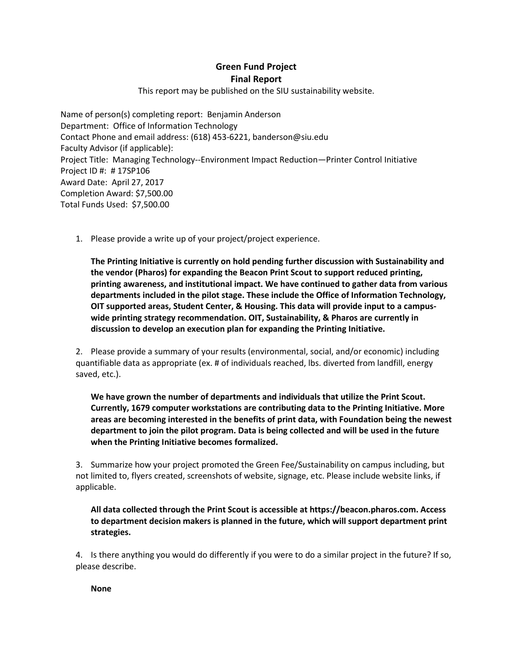**Green Fund Project Final Report**

This report may be published on the SIU sustainability website.

Name of person(s) completing report: Benjamin Anderson Department: Office of Information Technology Contact Phone and email address: (618) 453-6221, banderson@siu.edu Faculty Advisor (if applicable): Project Title: Managing Technology--Environment Impact Reduction—Printer Control Initiative Project ID #: # 17SP106 Award Date: April 27, 2017 Completion Award: \$7,500.00 Total Funds Used: \$7,500.00

1. Please provide a write up of your project/project experience.

**The Printing Initiative is currently on hold pending further discussion with Sustainability and the vendor (Pharos) for expanding the Beacon Print Scout to support reduced printing, printing awareness, and institutional impact. We have continued to gather data from various departments included in the pilot stage. These include the Office of Information Technology, OIT supported areas, Student Center, & Housing. This data will provide input to a campuswide printing strategy recommendation. OIT, Sustainability, & Pharos are currently in discussion to develop an execution plan for expanding the Printing Initiative.**

2. Please provide a summary of your results (environmental, social, and/or economic) including quantifiable data as appropriate (ex. # of individuals reached, lbs. diverted from landfill, energy saved, etc.).

**We have grown the number of departments and individuals that utilize the Print Scout. Currently, 1679 computer workstations are contributing data to the Printing Initiative. More areas are becoming interested in the benefits of print data, with Foundation being the newest department to join the pilot program. Data is being collected and will be used in the future when the Printing Initiative becomes formalized.**

3. Summarize how your project promoted the Green Fee/Sustainability on campus including, but not limited to, flyers created, screenshots of website, signage, etc. Please include website links, if applicable.

**All data collected through the Print Scout is accessible at https://beacon.pharos.com. Access to department decision makers is planned in the future, which will support department print strategies.**

4. Is there anything you would do differently if you were to do a similar project in the future? If so, please describe.

**None**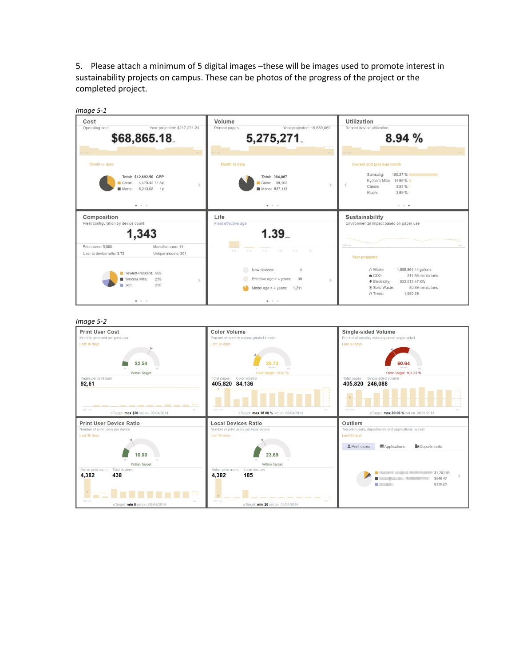5. Please attach a minimum of 5 digital images –these will be images used to promote interest in sustainability projects on campus. These can be photos of the progress of the project or the completed project.



## *Image 5-2*

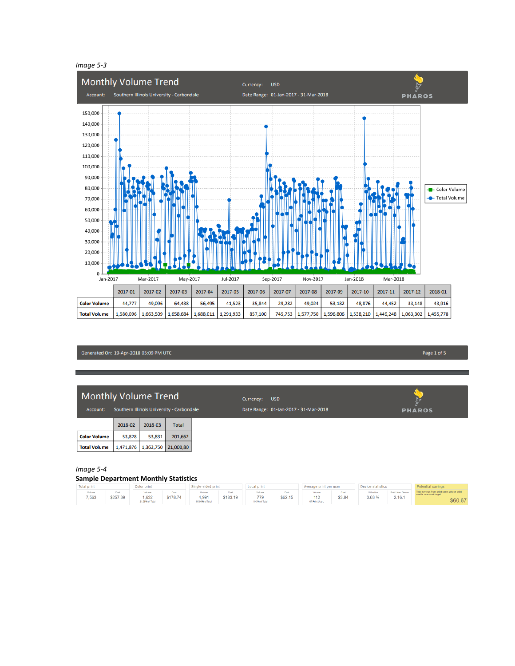

Generated On: 19-Apr-2018 05:09 PM UTC

## Monthly Volume Trend

Account: Southern Illinois University - Carbondale

|                     | 2018-02 | 2018-03                       | <b>Total</b> |  |  |
|---------------------|---------|-------------------------------|--------------|--|--|
| <b>Color Volume</b> | 53.828  | 53,831                        | 701.662      |  |  |
| <b>Total Volume</b> |         | 1,471,876 1,362,750 21,000,80 |              |  |  |

Date Range: 01-Jan-2017 - 31-Mar-2018

**PHAROS** 

*Image 5-4*

## **Sample Department Monthly Statistics**

| <b>Total print</b><br>Color print |                         | Single-sided print                        |                  | Local print                        |                  | Average print per user         |                 | Device statistics               |                |                       |                              |                                                                                  |
|-----------------------------------|-------------------------|-------------------------------------------|------------------|------------------------------------|------------------|--------------------------------|-----------------|---------------------------------|----------------|-----------------------|------------------------------|----------------------------------------------------------------------------------|
| Volume<br>7,563                   | <b>Cost</b><br>\$257.39 | <b>Volume</b><br>1.632<br>21,58% of Total | Cost<br>\$178.74 | Volume<br>4.991<br>65,99% of Total | Cost<br>\$183.19 | Volum<br>779<br>10.3% of Total | Cost<br>\$62.15 | Volume<br>112<br>67 Print Users | Cost<br>\$3.84 | Utilization<br>3.63 % | Print User: Device<br>2.16:1 | fotal savings from print users whose print<br>ost is over cost target<br>\$60.67 |

Page 1 of 5